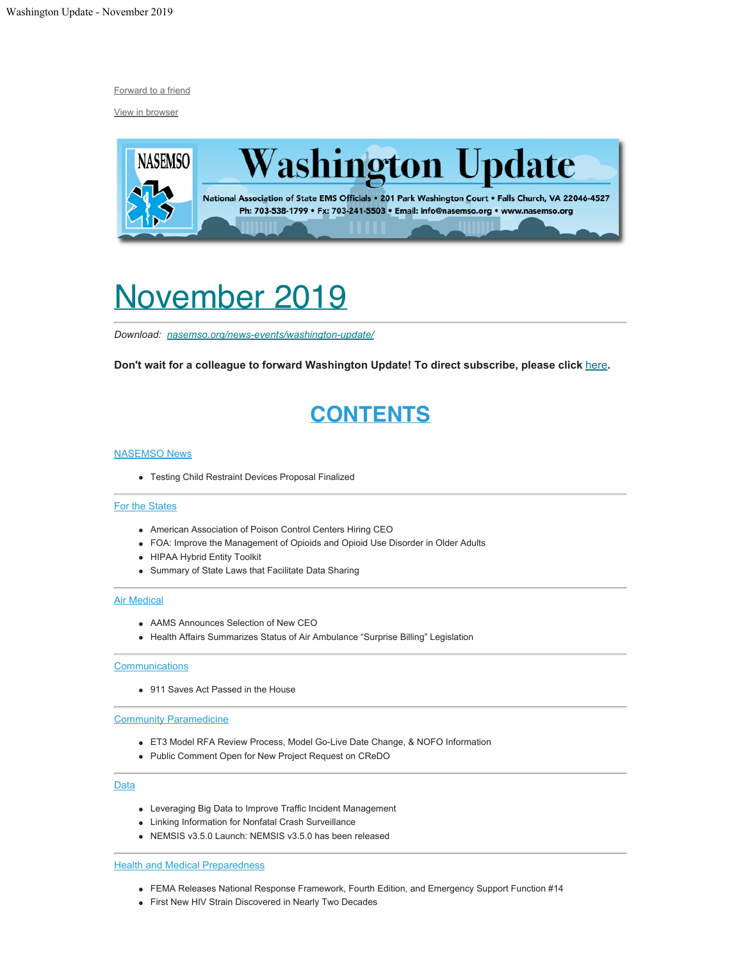[Forward to a friend](http://us13.forward-to-friend.com/forward?u=bdaf9a0cf267d423437d7b149&id=411db22ce7&e=[UNIQID])

[View in browser](https://mailchi.mp/c233af057d93/washington-update-november-2019?e=[UNIQID])



# <span id="page-0-0"></span>November 2019

*Download: [nasemso.org/news-events/washington-update/](https://nasemso.org/news-events/washington-update/)*

**Don't wait for a colleague to forward Washington Update! To direct subscribe, please click** [here](http://eepurl.com/cb1_dP)**.**

# **CONTENTS**

### **[NASEMSO News](#page-2-0)**

Testing Child Restraint Devices Proposal Finalized

### [For the States](#page-2-1)

- American Association of Poison Control Centers Hiring CEO
- FOA: Improve the Management of Opioids and Opioid Use Disorder in Older Adults
- HIPAA Hybrid Entity Toolkit
- Summary of State Laws that Facilitate Data Sharing

### **[Air Medical](#page-3-0)**

- AAMS Announces Selection of New CEO
- Health Affairs Summarizes Status of Air Ambulance "Surprise Billing" Legislation

### **[Communications](#page-3-1)**

• 911 Saves Act Passed in the House

### [Community Paramedicine](#page-4-0)

- ET3 Model RFA Review Process, Model Go-Live Date Change, & NOFO Information
- Public Comment Open for New Project Request on CReDO

### **[Data](#page-4-1)**

- Leveraging Big Data to Improve Traffic Incident Management
- Linking Information for Nonfatal Crash Surveillance
- NEMSIS v3.5.0 Launch: NEMSIS v3.5.0 has been released

### **[Health and Medical Preparedness](#page-5-0)**

- FEMA Releases National Response Framework, Fourth Edition, and Emergency Support Function #14
- First New HIV Strain Discovered in Nearly Two Decades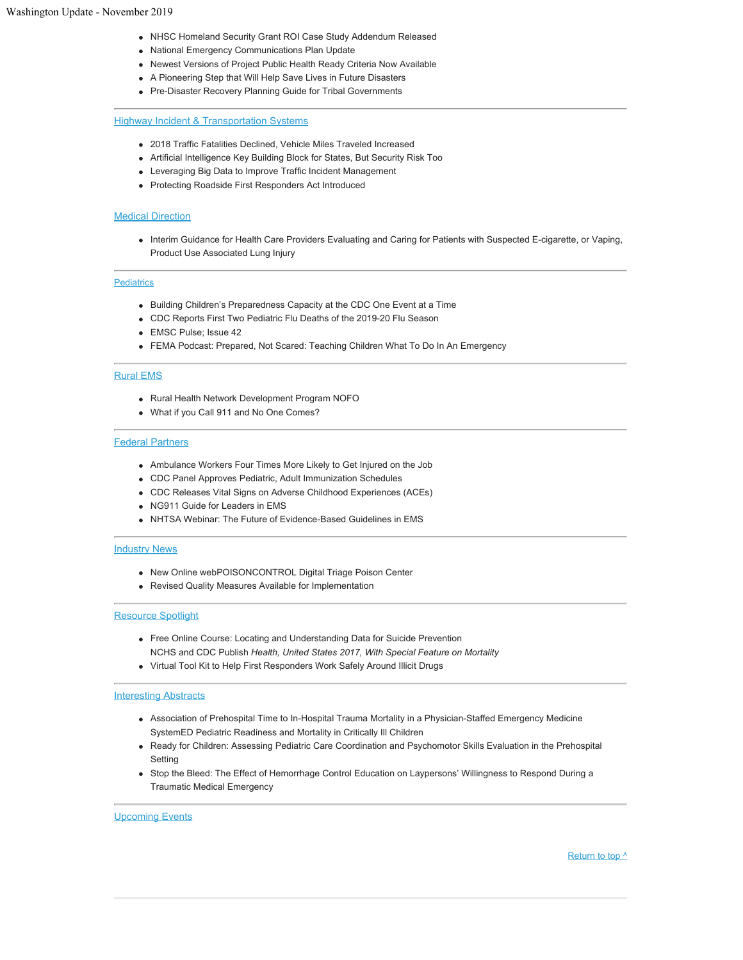- NHSC Homeland Security Grant ROI Case Study Addendum Released
- National Emergency Communications Plan Update
- Newest Versions of Project Public Health Ready Criteria Now Available
- A Pioneering Step that Will Help Save Lives in Future Disasters
- Pre-Disaster Recovery Planning Guide for Tribal Governments

### **[Highway Incident & Transportation Systems](#page-7-0)**

- 2018 Traffic Fatalities Declined, Vehicle Miles Traveled Increased
- Artificial Intelligence Key Building Block for States, But Security Risk Too
- Leveraging Big Data to Improve Traffic Incident Management
- Protecting Roadside First Responders Act Introduced

### **[Medical Direction](#page-8-0)**

Interim Guidance for Health Care Providers Evaluating and Caring for Patients with Suspected E-cigarette, or Vaping, Product Use Associated Lung Injury

### **[Pediatrics](#page-8-1)**

- Building Children's Preparedness Capacity at the CDC One Event at a Time
- CDC Reports First Two Pediatric Flu Deaths of the 2019-20 Flu Season
- EMSC Pulse; Issue 42
- FEMA Podcast: Prepared, Not Scared: Teaching Children What To Do In An Emergency

### [Rural EMS](#page-9-0)

- Rural Health Network Development Program NOFO
- What if you Call 911 and No One Comes?

### [Federal Partners](#page-9-1)

- Ambulance Workers Four Times More Likely to Get Injured on the Job
- CDC Panel Approves Pediatric, Adult Immunization Schedules
- CDC Releases Vital Signs on Adverse Childhood Experiences (ACEs)
- NG911 Guide for Leaders in EMS
- NHTSA Webinar: The Future of Evidence-Based Guidelines in EMS

### [Industry News](#page-11-0)

- New Online webPOISONCONTROL Digital Triage Poison Center
- Revised Quality Measures Available for Implementation

### [Resource Spotlight](#page-11-1)

- Free Online Course: Locating and Understanding Data for Suicide Prevention NCHS and CDC Publish *Health, United States 2017, With Special Feature on Mortality*
- Virtual Tool Kit to Help First Responders Work Safely Around Illicit Drugs

### **[Interesting Abstracts](#page-12-0)**

- Association of Prehospital Time to In-Hospital Trauma Mortality in a Physician-Staffed Emergency Medicine SystemED Pediatric Readiness and Mortality in Critically Ill Children
- Ready for Children: Assessing Pediatric Care Coordination and Psychomotor Skills Evaluation in the Prehospital Setting
- Stop the Bleed: The Effect of Hemorrhage Control Education on Laypersons' Willingness to Respond During a Traumatic Medical Emergency

#### [Upcoming Events](#page-13-0)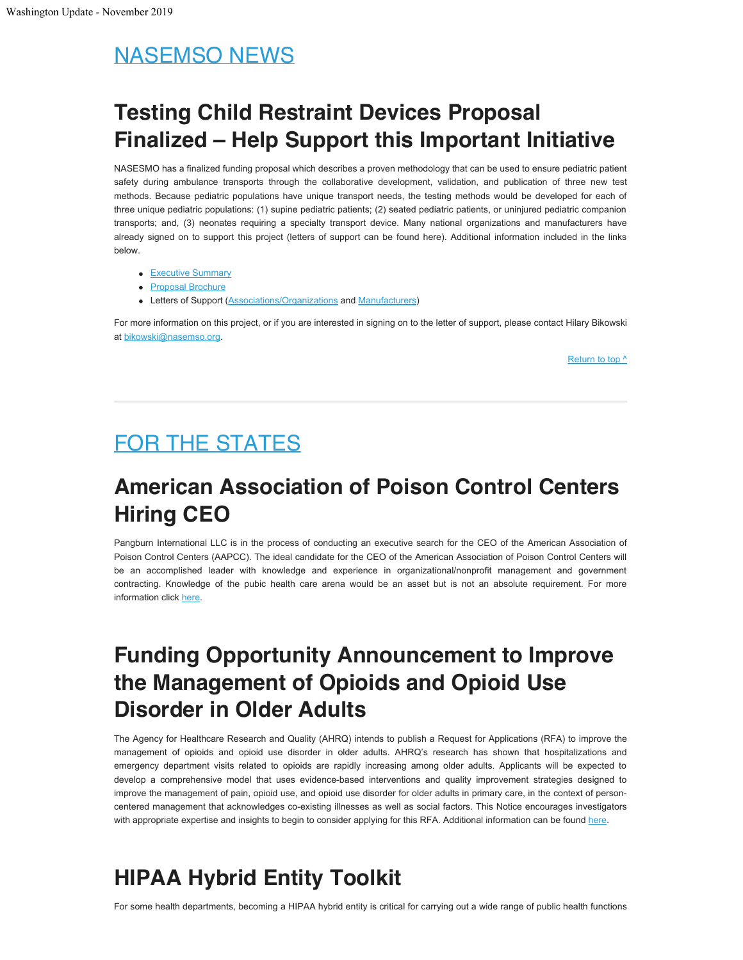# <span id="page-2-0"></span>NASEMSO NEWS

# **Testing Child Restraint Devices Proposal Finalized – Help Support this Important Initiative**

NASESMO has a finalized funding proposal which describes a proven methodology that can be used to ensure pediatric patient safety during ambulance transports through the collaborative development, validation, and publication of three new test methods. Because pediatric populations have unique transport needs, the testing methods would be developed for each of three unique pediatric populations: (1) supine pediatric patients; (2) seated pediatric patients, or uninjured pediatric companion transports; and, (3) neonates requiring a specialty transport device. Many national organizations and manufacturers have already signed on to support this project (letters of support can be found here). Additional information included in the links below.

- [Executive Summary](https://nasemso.org/wp-content/uploads/NASEMSO-Safe-Transport-of-Children-Executive-Summary.pdf)
- [Proposal Brochure](https://nasemso.org/nasemso-document/stc-funding-brochure-oct-2019/)
- Letters of Support [\(Associations/Organizations](https://nasemso.org/wp-content/uploads/Association-Letter-of-Support-@2019-1006.pdf) and [Manufacturers](https://nasemso.org/wp-content/uploads/Manufacturer-Letter-of-Support-@2019-0927.pdf))

For more information on this project, or if you are interested in signing on to the letter of support, please contact Hilary Bikowski at [bikowski@nasemso.org](mailto:bikowski@nasemso.org).

[Return to top ^](#page-0-0)

# <span id="page-2-1"></span>FOR THE STATES

## **American Association of Poison Control Centers Hiring CEO**

Pangburn International LLC is in the process of conducting an executive search for the CEO of the American Association of Poison Control Centers (AAPCC). The ideal candidate for the CEO of the American Association of Poison Control Centers will be an accomplished leader with knowledge and experience in organizational/nonprofit management and government contracting. Knowledge of the pubic health care arena would be an asset but is not an absolute requirement. For more information click [here.](https://piper.filecamp.com/uniq/at8z6dq5e6Uo6q3K.pdf)

## **Funding Opportunity Announcement to Improve the Management of Opioids and Opioid Use Disorder in Older Adults**

The Agency for Healthcare Research and Quality (AHRQ) intends to publish a Request for Applications (RFA) to improve the management of opioids and opioid use disorder in older adults. AHRQ's research has shown that hospitalizations and emergency department visits related to opioids are rapidly increasing among older adults. Applicants will be expected to develop a comprehensive model that uses evidence-based interventions and quality improvement strategies designed to improve the management of pain, opioid use, and opioid use disorder for older adults in primary care, in the context of personcentered management that acknowledges co-existing illnesses as well as social factors. This Notice encourages investigators with appropriate expertise and insights to begin to consider applying for this RFA. Additional information can be found [here](https://grants.nih.gov/grants/guide/notice-files/NOT-HS-20-001.html).

## **HIPAA Hybrid Entity Toolkit**

For some health departments, becoming a HIPAA hybrid entity is critical for carrying out a wide range of public health functions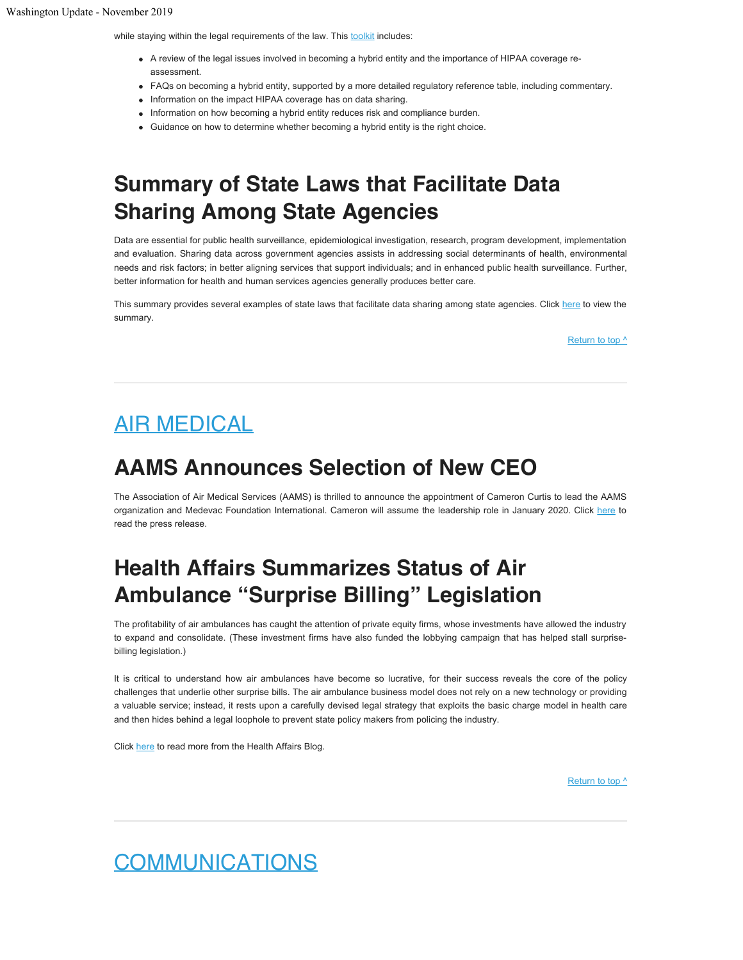while staying within the legal requirements of the law. This [toolkit](https://www.networkforphl.org/resources/topics__resources/health_information_and_data_sharing/hipaa_hybrid_toolkit/?blm_aid=25650) includes:

- A review of the legal issues involved in becoming a hybrid entity and the importance of HIPAA coverage reassessment.
- FAQs on becoming a hybrid entity, supported by a more detailed regulatory reference table, including commentary.
- Information on the impact HIPAA coverage has on data sharing.
- Information on how becoming a hybrid entity reduces risk and compliance burden.
- Guidance on how to determine whether becoming a hybrid entity is the right choice.

## **Summary of State Laws that Facilitate Data Sharing Among State Agencies**

Data are essential for public health surveillance, epidemiological investigation, research, program development, implementation and evaluation. Sharing data across government agencies assists in addressing social determinants of health, environmental needs and risk factors; in better aligning services that support individuals; and in enhanced public health surveillance. Further, better information for health and human services agencies generally produces better care.

This summary provides several examples of state laws that facilitate data sharing among state agencies. Click [here](https://www.networkforphl.org/_asset/2lv6l9/Summary-of-State-Laws-that-Facilitate-Data-Sharing-Among-State-Agencies-11-7-19.pdf) to view the summary.

Return to top  $\wedge$ 

## <span id="page-3-0"></span>AIR MEDICAL

## **AAMS Announces Selection of New CEO**

The Association of Air Medical Services (AAMS) is thrilled to announce the appointment of Cameron Curtis to lead the AAMS organization and Medevac Foundation International. Cameron will assume the leadership role in January 2020. Click [here](https://aams.org/aams-announces-selection-of-new-ceo-cameron-curtis/) to read the press release.

## **Health Affairs Summarizes Status of Air Ambulance "Surprise Billing" Legislation**

The profitability of air ambulances has caught the attention of private equity firms, whose investments have allowed the industry to expand and consolidate. (These investment firms have also funded the lobbying campaign that has helped stall surprisebilling legislation.)

It is critical to understand how air ambulances have become so lucrative, for their success reveals the core of the policy challenges that underlie other surprise bills. The air ambulance business model does not rely on a new technology or providing a valuable service; instead, it rests upon a carefully devised legal strategy that exploits the basic charge model in health care and then hides behind a legal loophole to prevent state policy makers from policing the industry.

Click [here](https://www.healthaffairs.org/do/10.1377/hblog20191016.235396/full/?fbclid=IwAR1jHLbkkB2feOnd1tqU8v6fC-U1Kii2tOTDdfnYNxODFSvQOTZsJQP-olQ) to read more from the Health Affairs Blog.

Return to top  $\prime$ 

## <span id="page-3-1"></span>COMMUNICATIONS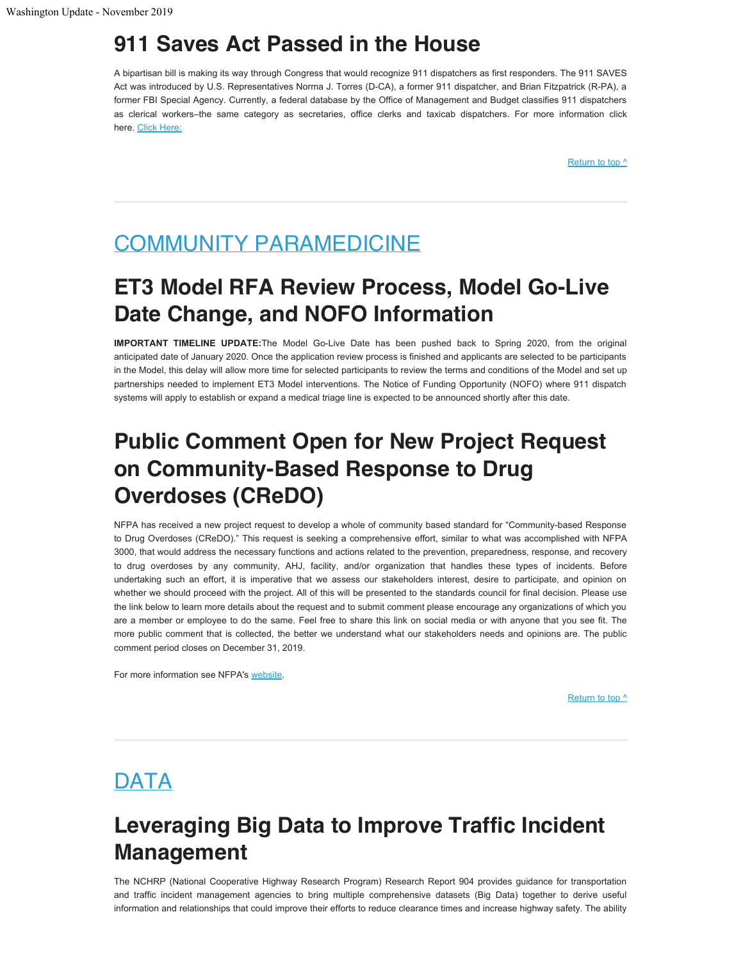## **911 Saves Act Passed in the House**

A bipartisan bill is making its way through Congress that would recognize 911 dispatchers as first responders. The 911 SAVES Act was introduced by U.S. Representatives Norma J. Torres (D-CA), a former 911 dispatcher, and Brian Fitzpatrick (R-PA), a former FBI Special Agency. Currently, a federal database by the Office of Management and Budget classifies 911 dispatchers as clerical workers–the same category as secretaries, office clerks and taxicab dispatchers. For more information click here. [Click Here:](https://cbs4indy.com/2019/10/28/legislative-push-underway-to-recognize-911-dispatchers-as-first-responders/)

[Return to top ^](#page-0-0)

## <span id="page-4-0"></span>COMMUNITY PARAMEDICINE

## **ET3 Model RFA Review Process, Model Go-Live Date Change, and NOFO Information**

**IMPORTANT TIMELINE UPDATE:**The Model Go-Live Date has been pushed back to Spring 2020, from the original anticipated date of January 2020. Once the application review process is finished and applicants are selected to be participants in the Model, this delay will allow more time for selected participants to review the terms and conditions of the Model and set up partnerships needed to implement ET3 Model interventions. The Notice of Funding Opportunity (NOFO) where 911 dispatch systems will apply to establish or expand a medical triage line is expected to be announced shortly after this date.

## **Public Comment Open for New Project Request on Community-Based Response to Drug Overdoses (CReDO)**

NFPA has received a new project request to develop a whole of community based standard for "Community-based Response to Drug Overdoses (CReDO)." This request is seeking a comprehensive effort, similar to what was accomplished with NFPA 3000, that would address the necessary functions and actions related to the prevention, preparedness, response, and recovery to drug overdoses by any community, AHJ, facility, and/or organization that handles these types of incidents. Before undertaking such an effort, it is imperative that we assess our stakeholders interest, desire to participate, and opinion on whether we should proceed with the project. All of this will be presented to the standards council for final decision. Please use the link below to learn more details about the request and to submit comment please encourage any organizations of which you are a member or employee to do the same. Feel free to share this link on social media or with anyone that you see fit. The more public comment that is collected, the better we understand what our stakeholders needs and opinions are. The public comment period closes on December 31, 2019.

For more information see NFPA's [website](https://www.nfpa.org/CReDO).

Return to top  $\prime$ 

## <span id="page-4-1"></span>DATA

## **Leveraging Big Data to Improve Traffic Incident Management**

The NCHRP (National Cooperative Highway Research Program) Research Report 904 provides guidance for transportation and traffic incident management agencies to bring multiple comprehensive datasets (Big Data) together to derive useful information and relationships that could improve their efforts to reduce clearance times and increase highway safety. The ability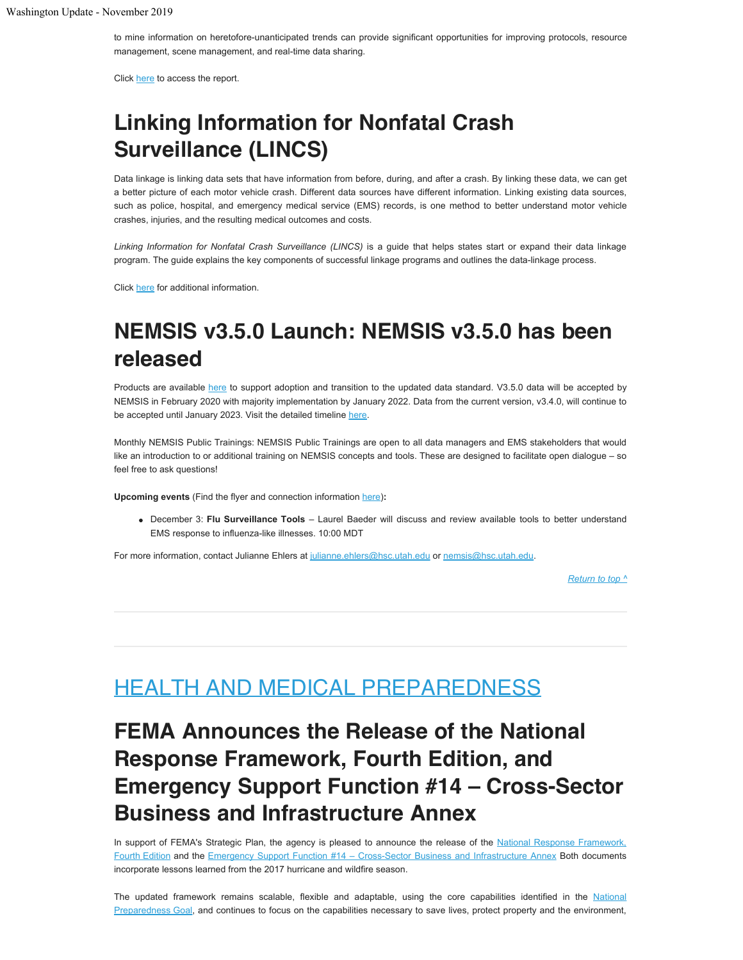to mine information on heretofore-unanticipated trends can provide significant opportunities for improving protocols, resource management, scene management, and real-time data sharing.

Click [here](https://nasemso.org/wp-content/uploads/Leveraging-Big-Data-to-Improve-Traffic-Incident-Management-National-Acad-of-Sci-2019.pdf) to access the report.

## **Linking Information for Nonfatal Crash Surveillance (LINCS)**

Data linkage is linking data sets that have information from before, during, and after a crash. By linking these data, we can get a better picture of each motor vehicle crash. Different data sources have different information. Linking existing data sources, such as police, hospital, and emergency medical service (EMS) records, is one method to better understand motor vehicle crashes, injuries, and the resulting medical outcomes and costs.

*Linking Information for Nonfatal Crash Surveillance (LINCS)* is a guide that helps states start or expand their data linkage program. The guide explains the key components of successful linkage programs and outlines the data-linkage process.

Click [here](https://www.cdc.gov/motorvehiclesafety/linkage/Linking-Information-Nonfatal-Crash-Surveillance.html?CDC_AA_refVal=https%3A%2F%2Fwww.cdc.gov%2Fmotorvehiclesafety%2Flinkage%2FLinked-Information-Nonfatal-Crash-Surveillance.html) for additional information.

## **NEMSIS v3.5.0 Launch: NEMSIS v3.5.0 has been released**

Products are available [here](https://nemsis.org/technical-resources/version-3/version-3-data-dictionaries/) to support adoption and transition to the updated data standard. V3.5.0 data will be accepted by NEMSIS in February 2020 with majority implementation by January 2022. Data from the current version, v3.4.0, will continue to be accepted until January 2023. Visit the detailed timeline [here](https://nemsis.org/v3-5-0-revision/when-will-changes-take-place/).

Monthly NEMSIS Public Trainings: NEMSIS Public Trainings are open to all data managers and EMS stakeholders that would like an introduction to or additional training on NEMSIS concepts and tools. These are designed to facilitate open dialogue – so feel free to ask questions!

**Upcoming events** (Find the flyer and connection information [here](https://nemsis.org/wp-content/uploads/2019/09/Training-Calendar_Fall-2019.pdf))**:**

December 3: **Flu Surveillance Tools** – Laurel Baeder will discuss and review available tools to better understand EMS response to influenza-like illnesses. 10:00 MDT

For more information, contact Julianne Ehlers at [julianne.ehlers@hsc.utah.edu](mailto:julianne.ehlers@hsc.utah.edu) or [nemsis@hsc.utah.edu.](mailto:nemsis@hsc.utah.edu)

*[Return to top ^](#page-0-0)*

## <span id="page-5-0"></span>HEALTH AND MEDICAL PREPAREDNESS

## **FEMA Announces the Release of the National Response Framework, Fourth Edition, and Emergency Support Function #14 – Cross-Sector Business and Infrastructure Annex**

In support of FEMA's Strategic Plan, the agency is pleased to announce the release of the [National Response Framework,](https://www.fema.gov/media-library/assets/documents/117791) [Fourth Edition](https://www.fema.gov/media-library/assets/documents/117791) and the [Emergency Support Function #14 – Cross-Sector Business and Infrastructure Annex](https://www.fema.gov/media-library/assets/documents/25512) Both documents incorporate lessons learned from the 2017 hurricane and wildfire season.

The updated framework remains scalable, flexible and adaptable, using the core capabilities identified in the [National](https://www.fema.gov/national-preparedness-goal) [Preparedness Goal,](https://www.fema.gov/national-preparedness-goal) and continues to focus on the capabilities necessary to save lives, protect property and the environment,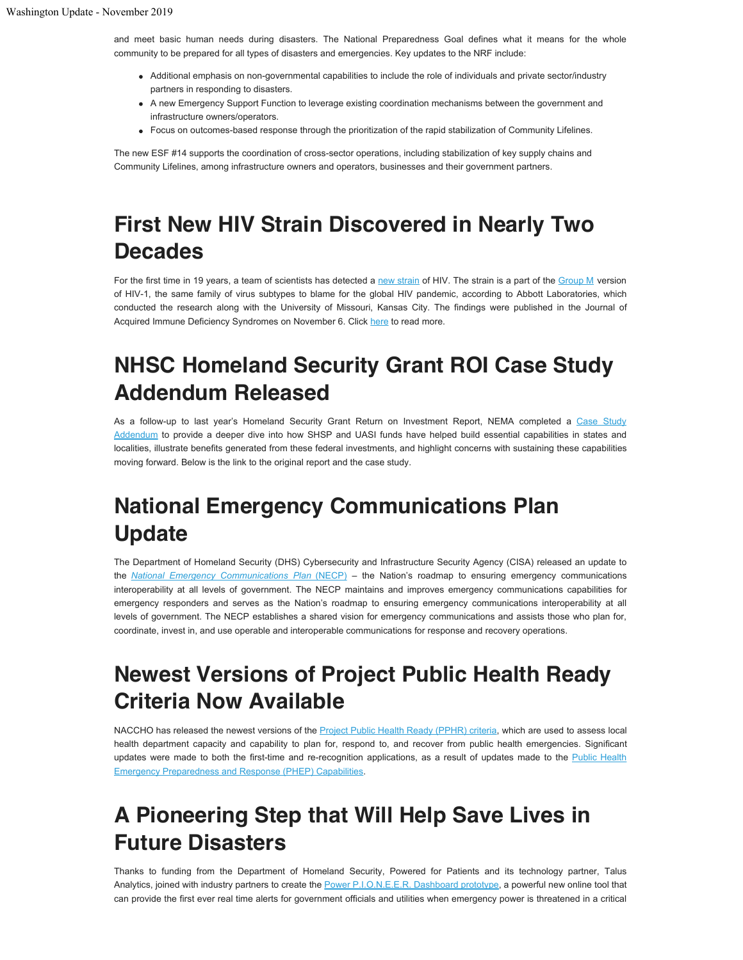and meet basic human needs during disasters. The National Preparedness Goal defines what it means for the whole community to be prepared for all types of disasters and emergencies. Key updates to the NRF include:

- Additional emphasis on non-governmental capabilities to include the role of individuals and private sector/industry partners in responding to disasters.
- A new Emergency Support Function to leverage existing coordination mechanisms between the government and infrastructure owners/operators.
- Focus on outcomes-based response through the prioritization of the rapid stabilization of Community Lifelines.

The new ESF #14 supports the coordination of cross-sector operations, including stabilization of key supply chains and Community Lifelines, among infrastructure owners and operators, businesses and their government partners.

# **First New HIV Strain Discovered in Nearly Two Decades**

For the first time in 19 years, a team of scientists has detected a [new strain](https://journals.lww.com/jaids/Abstract/publishahead/Complete_genome_sequence_of_CG_0018a_01.96307.aspx) of HIV. The strain is a part of the [Group M](https://www.hiv.lanl.gov/content/sequence/HelpDocs/subtypes-more.html) version of HIV-1, the same family of virus subtypes to blame for the global HIV pandemic, according to Abbott Laboratories, which conducted the research along with the University of Missouri, Kansas City. The findings were published in the Journal of Acquired Immune Deficiency Syndromes on November 6. Click [here](https://www.cnn.com/2019/11/06/health/hiv-new-strain-discovered/index.html) to read more.

## **NHSC Homeland Security Grant ROI Case Study Addendum Released**

As a follow-up to last year's Homeland Security Grant Return on Investment Report, NEMA completed a [Case Study](https://www.nemaweb.org/index.php/docman/national-homeland-security-consortium/1173-hsgrantroi-case-study-addendum-091319) [Addendum](https://www.nemaweb.org/index.php/docman/national-homeland-security-consortium/1173-hsgrantroi-case-study-addendum-091319) to provide a deeper dive into how SHSP and UASI funds have helped build essential capabilities in states and localities, illustrate benefits generated from these federal investments, and highlight concerns with sustaining these capabilities moving forward. Below is the link to the original report and the case study.

## **National Emergency Communications Plan Update**

The Department of Homeland Security (DHS) Cybersecurity and Infrastructure Security Agency (CISA) released an update to the *[National Emergency Communications Plan](https://www.cisa.gov/sites/default/files/publications/19_0924_CISA_ECD-NECP-2019_0.pdf)* [\(NECP\)](https://www.cisa.gov/sites/default/files/publications/19_0924_CISA_ECD-NECP-2019_0.pdf) – the Nation's roadmap to ensuring emergency communications interoperability at all levels of government. The NECP maintains and improves emergency communications capabilities for emergency responders and serves as the Nation's roadmap to ensuring emergency communications interoperability at all levels of government. The NECP establishes a shared vision for emergency communications and assists those who plan for, coordinate, invest in, and use operable and interoperable communications for response and recovery operations.

## **Newest Versions of Project Public Health Ready Criteria Now Available**

NACCHO has released the newest versions of the [Project Public Health Ready \(PPHR\) criteria,](http://nacchopreparedness.org/now-available-newest-versions-of-project-public-health-ready-criteria/) which are used to assess local health department capacity and capability to plan for, respond to, and recover from public health emergencies. Significant updates were made to both the first-time and re-recognition applications, as a result of updates made to the [Public Health](https://www.cdc.gov/cpr/readiness/capabilities.htm) [Emergency Preparedness and Response \(PHEP\) Capabilities.](https://www.cdc.gov/cpr/readiness/capabilities.htm)

# **A Pioneering Step that Will Help Save Lives in Future Disasters**

Thanks to funding from the Department of Homeland Security, Powered for Patients and its technology partner, Talus Analytics, joined with industry partners to create the [Power P.I.O.N.E.E.R. Dashboard prototype](https://www.poweredforpatients.org/powered-for-patients-creates-power-p-i-o-n-e-e-r-dashboard-prototype-with-dhs-funding-and-partnership-with-industry-leaders/), a powerful new online tool that can provide the first ever real time alerts for government officials and utilities when emergency power is threatened in a critical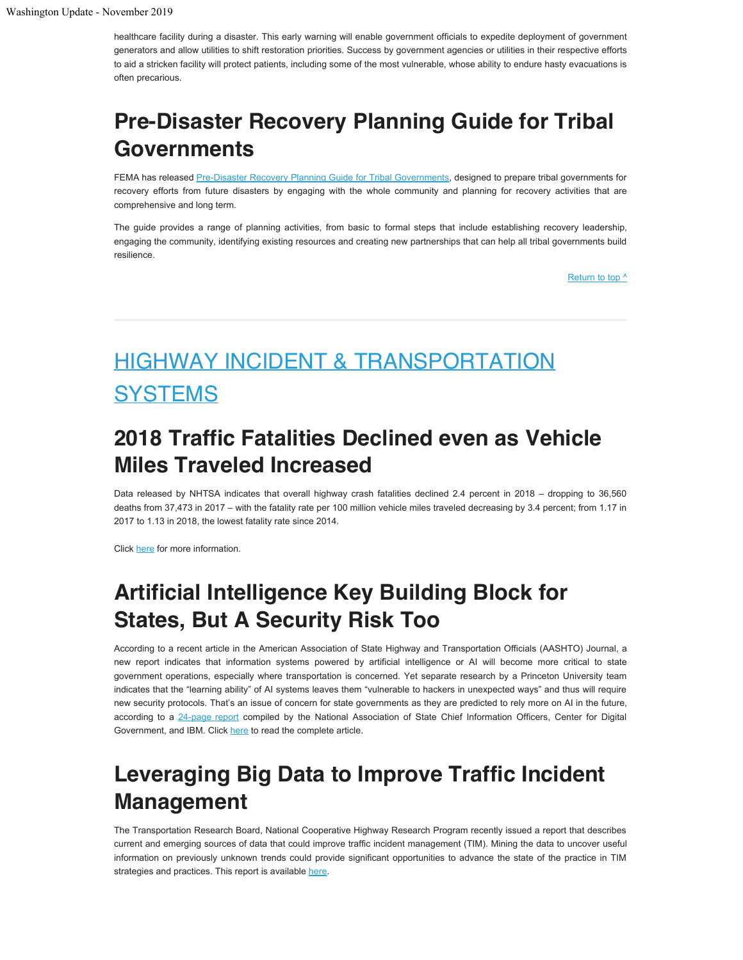healthcare facility during a disaster. This early warning will enable government officials to expedite deployment of government generators and allow utilities to shift restoration priorities. Success by government agencies or utilities in their respective efforts to aid a stricken facility will protect patients, including some of the most vulnerable, whose ability to endure hasty evacuations is often precarious.

## **Pre-Disaster Recovery Planning Guide for Tribal Governments**

FEMA has released [Pre-Disaster Recovery Planning Guide for Tribal Governments](https://www.fema.gov/media-library/assets/documents/183019), designed to prepare tribal governments for recovery efforts from future disasters by engaging with the whole community and planning for recovery activities that are comprehensive and long term.

The guide provides a range of planning activities, from basic to formal steps that include establishing recovery leadership, engaging the community, identifying existing resources and creating new partnerships that can help all tribal governments build resilience.

[Return to top ^](#page-0-0)

# <span id="page-7-0"></span>HIGHWAY INCIDENT & TRANSPORTATION **SYSTEMS**

## **2018 Traffic Fatalities Declined even as Vehicle Miles Traveled Increased**

Data released by NHTSA indicates that overall highway crash fatalities declined 2.4 percent in 2018 – dropping to 36,560 deaths from 37,473 in 2017 – with the fatality rate per 100 million vehicle miles traveled decreasing by 3.4 percent; from 1.17 in 2017 to 1.13 in 2018, the lowest fatality rate since 2014.

Click [here](https://aashtojournal.org/2019/10/25/nhtsa-traffic-fatalities-declined-in-2018-even-as-vmt-increased/) for more information.

## **Artificial Intelligence Key Building Block for States, But A Security Risk Too**

According to a recent article in the American Association of State Highway and Transportation Officials (AASHTO) Journal, a new report indicates that information systems powered by artificial intelligence or AI will become more critical to state government operations, especially where transportation is concerned. Yet separate research by a Princeton University team indicates that the "learning ability" of AI systems leaves them "vulnerable to hackers in unexpected ways" and thus will require new security protocols. That's an issue of concern for state governments as they are predicted to rely more on AI in the future, according to a [24-page report](https://www.nascio.org/Portals/0/AchievingthePromiseofAI.pdf) compiled by the National Association of State Chief Information Officers, Center for Digital Government, and IBM. Click [here](https://aashtojournal.org/2019/10/18/artificial-intelligence-key-building-block-for-states-but-a-security-risk-too/) to read the complete article.

## **Leveraging Big Data to Improve Traffic Incident Management**

The Transportation Research Board, National Cooperative Highway Research Program recently issued a report that describes current and emerging sources of data that could improve traffic incident management (TIM). Mining the data to uncover useful information on previously unknown trends could provide significant opportunities to advance the state of the practice in TIM strategies and practices. This report is available [here](https://www.nap.edu/catalog/25604/leveraging-big-data-to-improve-traffic-incident-management?utm_source=NASEM+News+and+Publications&utm_campaign=69172d9ece-NAP_mail_new_2019_10_21&utm_medium=email&utm_term=0_96101de015-69172d9ece-107671157&goal=0_96101de015-69172d9ece-107671157&mc_cid=69172d9ece&mc_eid=7b7c6ce49b).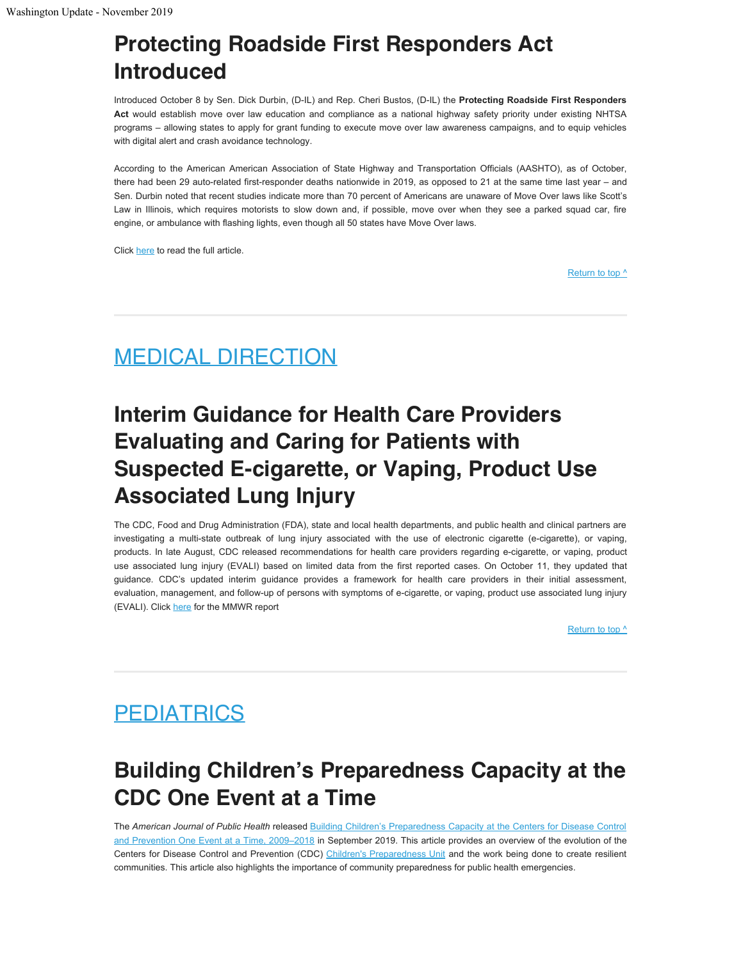# **Protecting Roadside First Responders Act Introduced**

Introduced October 8 by Sen. Dick Durbin, (D-IL) and Rep. Cheri Bustos, (D-IL) the **Protecting Roadside First Responders Act** would establish move over law education and compliance as a national highway safety priority under existing NHTSA programs – allowing states to apply for grant funding to execute move over law awareness campaigns, and to equip vehicles with digital alert and crash avoidance technology.

According to the American American Association of State Highway and Transportation Officials (AASHTO), as of October, there had been 29 auto-related first-responder deaths nationwide in 2019, as opposed to 21 at the same time last year – and Sen. Durbin noted that recent studies indicate more than 70 percent of Americans are unaware of Move Over laws like Scott's Law in Illinois, which requires motorists to slow down and, if possible, move over when they see a parked squad car, fire engine, or ambulance with flashing lights, even though all 50 states have Move Over laws.

Click [here](https://aashtojournal.org/2019/10/18/proposed-bill-would-implement-new-national-traffic-safety-measures/) to read the full article.

[Return to top ^](#page-0-0)

## <span id="page-8-0"></span>MEDICAL DIRECTION

# **Interim Guidance for Health Care Providers Evaluating and Caring for Patients with Suspected E-cigarette, or Vaping, Product Use Associated Lung Injury**

The CDC, Food and Drug Administration (FDA), state and local health departments, and public health and clinical partners are investigating a multi-state outbreak of lung injury associated with the use of electronic cigarette (e-cigarette), or vaping, products. In late August, CDC released recommendations for health care providers regarding e-cigarette, or vaping, product use associated lung injury (EVALI) based on limited data from the first reported cases. On October 11, they updated that guidance. CDC's updated interim guidance provides a framework for health care providers in their initial assessment, evaluation, management, and follow-up of persons with symptoms of e-cigarette, or vaping, product use associated lung injury (EVALI). Click [here](https://www.cdc.gov/mmwr/volumes/68/wr/mm6841e3.htm) for the MMWR report

[Return to top ^](#page-0-0)

# <span id="page-8-1"></span>**PEDIATRICS**

## **Building Children's Preparedness Capacity at the CDC One Event at a Time**

The *American Journal of Public Health* released [Building Children's Preparedness Capacity at the Centers for Disease Control](https://ajph.aphapublications.org/doi/pdf/10.2105/AJPH.2019.305066) [and Prevention One Event at a Time, 2009–2018](https://ajph.aphapublications.org/doi/pdf/10.2105/AJPH.2019.305066) in September 2019. This article provides an overview of the evolution of the Centers for Disease Control and Prevention (CDC) [Children's Preparedness Unit](https://www.cdc.gov/childrenindisasters/about-us.html) and the work being done to create resilient communities. This article also highlights the importance of community preparedness for public health emergencies.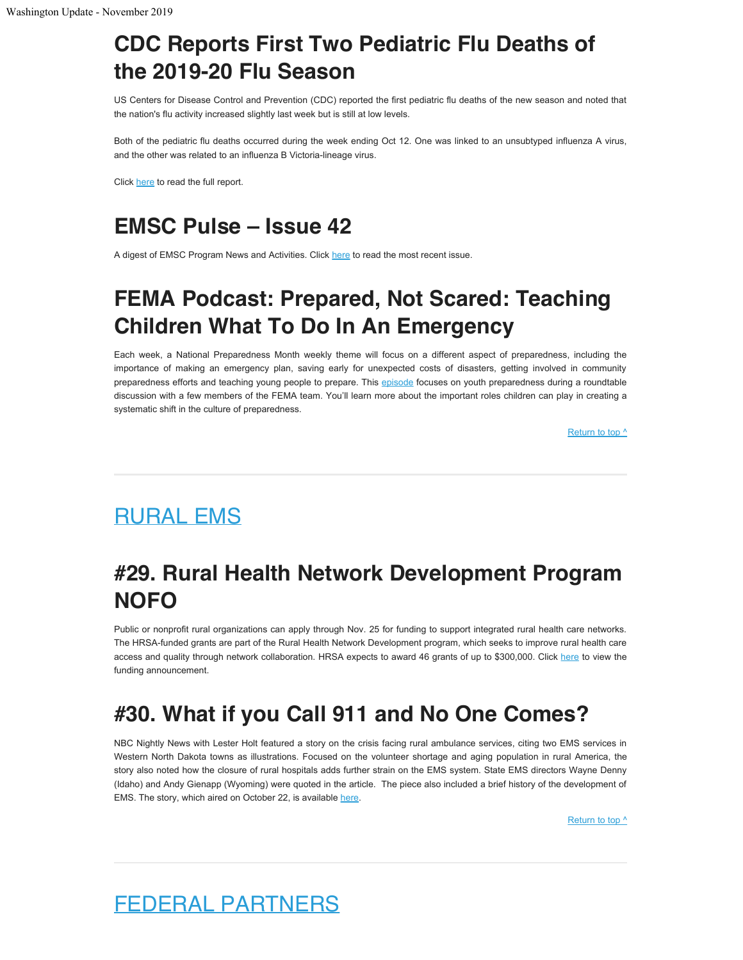## **CDC Reports First Two Pediatric Flu Deaths of the 2019-20 Flu Season**

US Centers for Disease Control and Prevention (CDC) reported the first pediatric flu deaths of the new season and noted that the nation's flu activity increased slightly last week but is still at low levels.

Both of the pediatric flu deaths occurred during the week ending Oct 12. One was linked to an unsubtyped influenza A virus, and the other was related to an influenza B Victoria-lineage virus.

Click [here](https://www.cdc.gov/flu/weekly/) to read the full report.

## **EMSC Pulse – Issue 42**

A digest of EMSC Program News and Activities. Click [here](https://emscimprovement.center/pulse-newsletter/42/) to read the most recent issue.

## **FEMA Podcast: Prepared, Not Scared: Teaching Children What To Do In An Emergency**

Each week, a National Preparedness Month weekly theme will focus on a different aspect of preparedness, including the importance of making an emergency plan, saving early for unexpected costs of disasters, getting involved in community preparedness efforts and teaching young people to prepare. This [episode](https://www.fema.gov/media-library/assets/audio/182483) focuses on youth preparedness during a roundtable discussion with a few members of the FEMA team. You'll learn more about the important roles children can play in creating a systematic shift in the culture of preparedness.

[Return to top ^](#page-0-0)

## <span id="page-9-0"></span>RURAL EMS

## **#29. Rural Health Network Development Program NOFO**

Public or nonprofit rural organizations can apply through Nov. 25 for funding to support integrated rural health care networks. The HRSA-funded grants are part of the Rural Health Network Development program, which seeks to improve rural health care access and quality through network collaboration. HRSA expects to award 46 grants of up to \$300,000. Click [here](https://www.hrsa.gov/ruralhealth/programopportunities/fundingopportunities/?id=802be811-257a-4e2c-80d9-75eef1fe5886) to view the funding announcement.

## **#30. What if you Call 911 and No One Comes?**

NBC Nightly News with Lester Holt featured a story on the crisis facing rural ambulance services, citing two EMS services in Western North Dakota towns as illustrations. Focused on the volunteer shortage and aging population in rural America, the story also noted how the closure of rural hospitals adds further strain on the EMS system. State EMS directors Wayne Denny (Idaho) and Andy Gienapp (Wyoming) were quoted in the article. The piece also included a brief history of the development of EMS. The story, which aired on October 22, is available [here.](https://www.nbcnews.com/health/health-care/there-s-shortage-volunteer-ems-workers-ambulances-rural-america-n1068556)

[Return to top ^](#page-0-0)

## <span id="page-9-1"></span>FEDERAL PARTNERS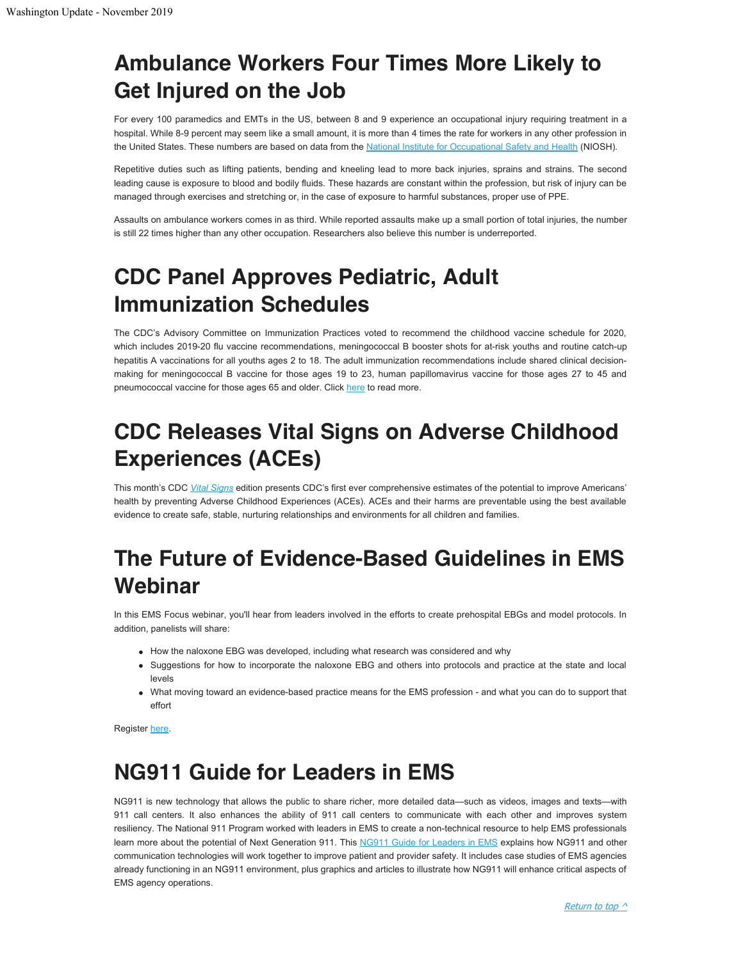## **Ambulance Workers Four Times More Likely to Get Injured on the Job**

For every 100 paramedics and EMTs in the US, between 8 and 9 experience an occupational injury requiring treatment in a hospital. While 8-9 percent may seem like a small amount, it is more than 4 times the rate for workers in any other profession in the United States. These numbers are based on data from the [National Institute for Occupational Safety and Health](https://www.cdc.gov/niosh/topics/ems/data.html) (NIOSH).

Repetitive duties such as lifting patients, bending and kneeling lead to more back injuries, sprains and strains. The second leading cause is exposure to blood and bodily fluids. These hazards are constant within the profession, but risk of injury can be managed through exercises and stretching or, in the case of exposure to harmful substances, proper use of PPE.

Assaults on ambulance workers comes in as third. While reported assaults make up a small portion of total injuries, the number is still 22 times higher than any other occupation. Researchers also believe this number is underreported.

# **CDC Panel Approves Pediatric, Adult Immunization Schedules**

The CDC's Advisory Committee on Immunization Practices voted to recommend the childhood vaccine schedule for 2020, which includes 2019-20 flu vaccine recommendations, meningococcal B booster shots for at-risk youths and routine catch-up hepatitis A vaccinations for all youths ages 2 to 18. The adult immunization recommendations include shared clinical decisionmaking for meningococcal B vaccine for those ages 19 to 23, human papillomavirus vaccine for those ages 27 to 45 and pneumococcal vaccine for those ages 65 and older. Click [here](https://www.cdc.gov/vaccines/acip/index.html) to read more.

# **CDC Releases Vital Signs on Adverse Childhood Experiences (ACEs)**

This month's CDC *[Vital Signs](https://t.emailupdates.cdc.gov/r/?id=h5731170,3be3e10,3be3505)* edition presents CDC's first ever comprehensive estimates of the potential to improve Americans' health by preventing Adverse Childhood Experiences (ACEs). ACEs and their harms are preventable using the best available evidence to create safe, stable, nurturing relationships and environments for all children and families.

## **The Future of Evidence-Based Guidelines in EMS Webinar**

In this EMS Focus webinar, you'll hear from leaders involved in the efforts to create prehospital EBGs and model protocols. In addition, panelists will share:

- How the naloxone EBG was developed, including what research was considered and why
- Suggestions for how to incorporate the naloxone EBG and others into protocols and practice at the state and local levels
- What moving toward an evidence-based practice means for the EMS profession and what you can do to support that effort

Register [here](https://register.gotowebinar.com/register/1447498664400536589?source=GovDelivery).

## **NG911 Guide for Leaders in EMS**

NG911 is new technology that allows the public to share richer, more detailed data—such as videos, images and texts—with 911 call centers. It also enhances the ability of 911 call centers to communicate with each other and improves system resiliency. The National 911 Program worked with leaders in EMS to create a non-technical resource to help EMS professionals learn more about the potential of Next Generation 911. This [NG911 Guide for Leaders in EMS](https://www.911.gov/project_ng911publicsafety/ems/index.html) explains how NG911 and other communication technologies will work together to improve patient and provider safety. It includes case studies of EMS agencies already functioning in an NG911 environment, plus graphics and articles to illustrate how NG911 will enhance critical aspects of EMS agency operations.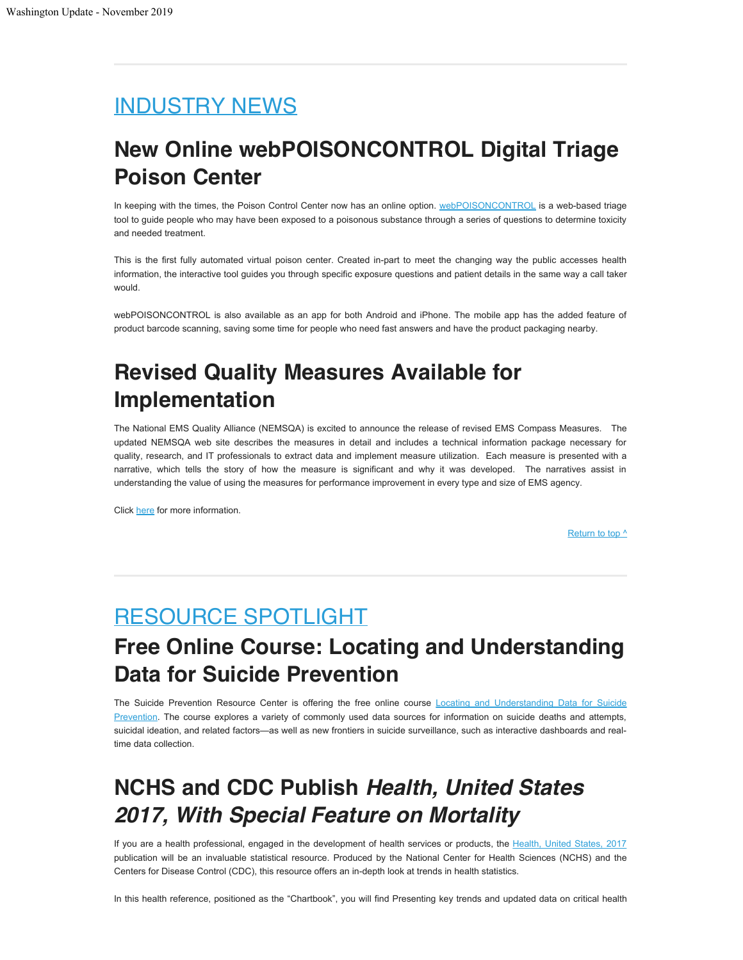## <span id="page-11-0"></span>INDUSTRY NEWS

## **New Online webPOISONCONTROL Digital Triage Poison Center**

In keeping with the times, the Poison Control Center now has an online option. [webPOISONCONTROL](https://www.webpoisoncontrol.org/) is a web-based triage tool to guide people who may have been exposed to a poisonous substance through a series of questions to determine toxicity and needed treatment.

This is the first fully automated virtual poison center. Created in-part to meet the changing way the public accesses health information, the interactive tool guides you through specific exposure questions and patient details in the same way a call taker would.

webPOISONCONTROL is also available as an app for both Android and iPhone. The mobile app has the added feature of product barcode scanning, saving some time for people who need fast answers and have the product packaging nearby.

## **Revised Quality Measures Available for Implementation**

The National EMS Quality Alliance (NEMSQA) is excited to announce the release of revised EMS Compass Measures. The updated NEMSQA web site describes the measures in detail and includes a technical information package necessary for quality, research, and IT professionals to extract data and implement measure utilization. Each measure is presented with a narrative, which tells the story of how the measure is significant and why it was developed. The narratives assist in understanding the value of using the measures for performance improvement in every type and size of EMS agency.

Click [here](http://www.nemsqa.org/completed-quality-measures/) for more information.

[Return to top ^](#page-0-0)

## <span id="page-11-1"></span>RESOURCE SPOTLIGHT

## **Free Online Course: Locating and Understanding Data for Suicide Prevention**

The Suicide Prevention Resource Center is offering the free online course [Locating and Understanding Data for Suicide](https://training.sprc.org/course/view.php?id=35) [Prevention](https://training.sprc.org/course/view.php?id=35). The course explores a variety of commonly used data sources for information on suicide deaths and attempts, suicidal ideation, and related factors—as well as new frontiers in suicide surveillance, such as interactive dashboards and realtime data collection.

## **NCHS and CDC Publish** *Health, United States 2017, With Special Feature on Mortality*

If you are a health professional, engaged in the development of health services or products, the [Health, United States, 2017](https://bookstore.gpo.gov/products/health-united-states-2017-special-feature-mortality) publication will be an invaluable statistical resource. Produced by the National Center for Health Sciences (NCHS) and the Centers for Disease Control (CDC), this resource offers an in-depth look at trends in health statistics.

In this health reference, positioned as the "Chartbook", you will find Presenting key trends and updated data on critical health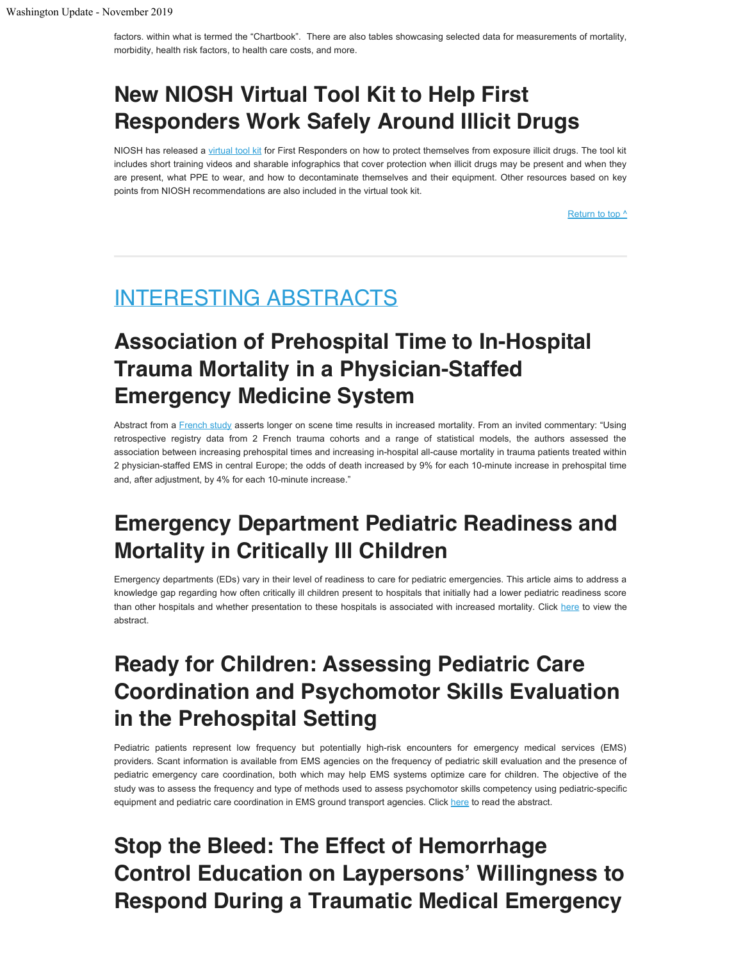factors. within what is termed the "Chartbook". There are also tables showcasing selected data for measurements of mortality, morbidity, health risk factors, to health care costs, and more.

## **New NIOSH Virtual Tool Kit to Help First Responders Work Safely Around Illicit Drugs**

NIOSH has released a [virtual tool kit](https://www.cdc.gov/niosh/topics/fentanyl/toolkit.html) for First Responders on how to protect themselves from exposure illicit drugs. The tool kit includes short training videos and sharable infographics that cover protection when illicit drugs may be present and when they are present, what PPE to wear, and how to decontaminate themselves and their equipment. Other resources based on key points from NIOSH recommendations are also included in the virtual took kit.

[Return to top ^](#page-0-0)

## <span id="page-12-0"></span>INTERESTING ABSTRACTS

## **Association of Prehospital Time to In-Hospital Trauma Mortality in a Physician-Staffed Emergency Medicine System**

Abstract from a [French study](https://jamanetwork.com/journals/jamasurgery/article-abstract/2751937) asserts longer on scene time results in increased mortality. From an invited commentary: "Using retrospective registry data from 2 French trauma cohorts and a range of statistical models, the authors assessed the association between increasing prehospital times and increasing in-hospital all-cause mortality in trauma patients treated within 2 physician-staffed EMS in central Europe; the odds of death increased by 9% for each 10-minute increase in prehospital time and, after adjustment, by 4% for each 10-minute increase."

## **Emergency Department Pediatric Readiness and Mortality in Critically Ill Children**

Emergency departments (EDs) vary in their level of readiness to care for pediatric emergencies. This article aims to address a knowledge gap regarding how often critically ill children present to hospitals that initially had a lower pediatric readiness score than other hospitals and whether presentation to these hospitals is associated with increased mortality. Click [here](https://pediatrics.aappublications.org/content/144/3/e20190568?sso=1&sso_redirect_count=1&nfstatus=401&nftoken=00000000-0000-0000-0000-000000000000&nfstatusdescription=ERROR%3a+No+local+token) to view the abstract.

## **Ready for Children: Assessing Pediatric Care Coordination and Psychomotor Skills Evaluation in the Prehospital Setting**

Pediatric patients represent low frequency but potentially high-risk encounters for emergency medical services (EMS) providers. Scant information is available from EMS agencies on the frequency of pediatric skill evaluation and the presence of pediatric emergency care coordination, both which may help EMS systems optimize care for children. The objective of the study was to assess the frequency and type of methods used to assess psychomotor skills competency using pediatric-specific equipment and pediatric care coordination in EMS ground transport agencies. Click [here](https://www.ncbi.nlm.nih.gov/pubmed/30380953) to read the abstract.

## **Stop the Bleed: The Effect of Hemorrhage Control Education on Laypersons' Willingness to Respond During a Traumatic Medical Emergency**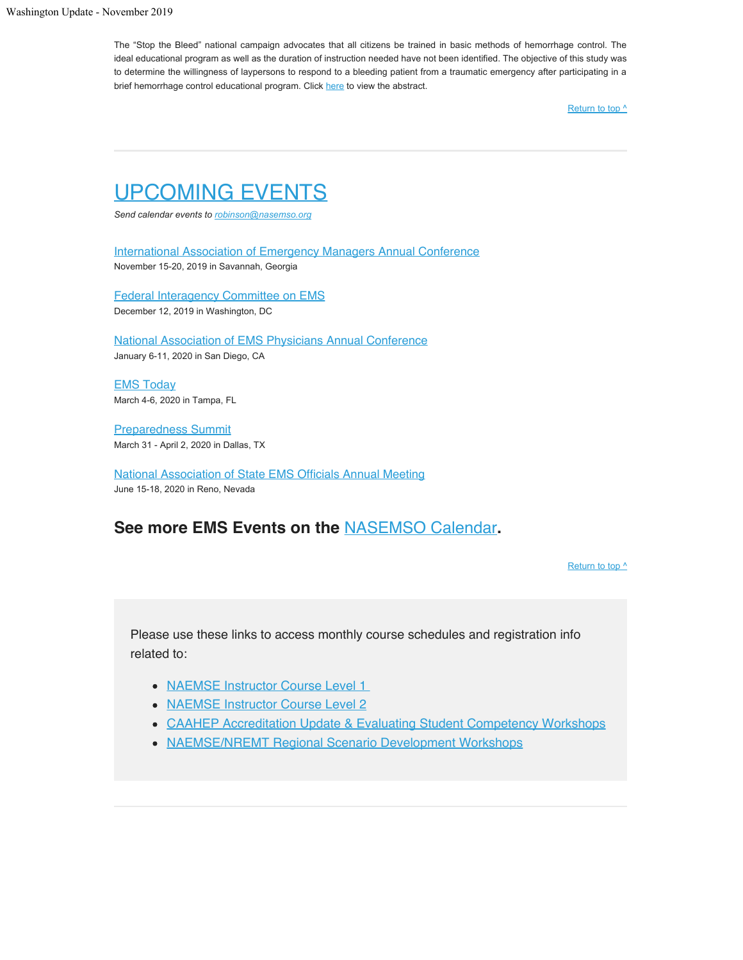The "Stop the Bleed" national campaign advocates that all citizens be trained in basic methods of hemorrhage control. The ideal educational program as well as the duration of instruction needed have not been identified. The objective of this study was to determine the willingness of laypersons to respond to a bleeding patient from a traumatic emergency after participating in a brief hemorrhage control educational program. Click [here](https://www.ncbi.nlm.nih.gov/pubmed/29455698) to view the abstract.

[Return to top ^](#page-0-0)

## <span id="page-13-0"></span>UPCOMING EVENTS

*Send calendar events to [robinson@nasemso.org](mailto:robinson@nasemso.org?subject=Calendar%20Event%20for%20Washington%20Update)*

[International Association of Emergency Managers Annual Conference](https://iaemconference.info/) November 15-20, 2019 in Savannah, Georgia

[Federal Interagency Committee on EMS](https://www.ems.gov/ficems-meetings.html) December 12, 2019 in Washington, DC

[National Association of EMS Physicians Annual Conference](https://naemsp.org/events/annual-meetings/) January 6-11, 2020 in San Diego, CA

[EMS Today](https://www.emstoday.com/) March 4-6, 2020 in Tampa, FL

[Preparedness Summit](http://www.preparednesssummit.org/home) March 31 - April 2, 2020 in Dallas, TX

[National Association of State EMS Officials Annual](https://nasemso.org/wp-content/uploads/Schedule-at-A-Glance-NASEMSO-Annual-Meeting-2020.pdf) Meeting June 15-18, 2020 in Reno, Nevada

### **See more EMS Events on the** [NASEMSO Calendar](https://nasemso.org/news-events/events/)**.**

[Return to top ^](#page-0-0)

Please use these links to access monthly course schedules and registration info related to:

- [NAEMSE Instructor Course Level 1](http://naemse.org/?page=LVL1InstructorCourse)
- [NAEMSE Instructor Course Level 2](http://naemse.org/?page=LVL2InstructorCourse)
- [CAAHEP Accreditation Update & Evaluating Student Competency Workshops](http://naemse.org/?page=coaemsp)
- [NAEMSE/NREMT Regional Scenario Development Workshops](http://naemse.org/?page=nremt)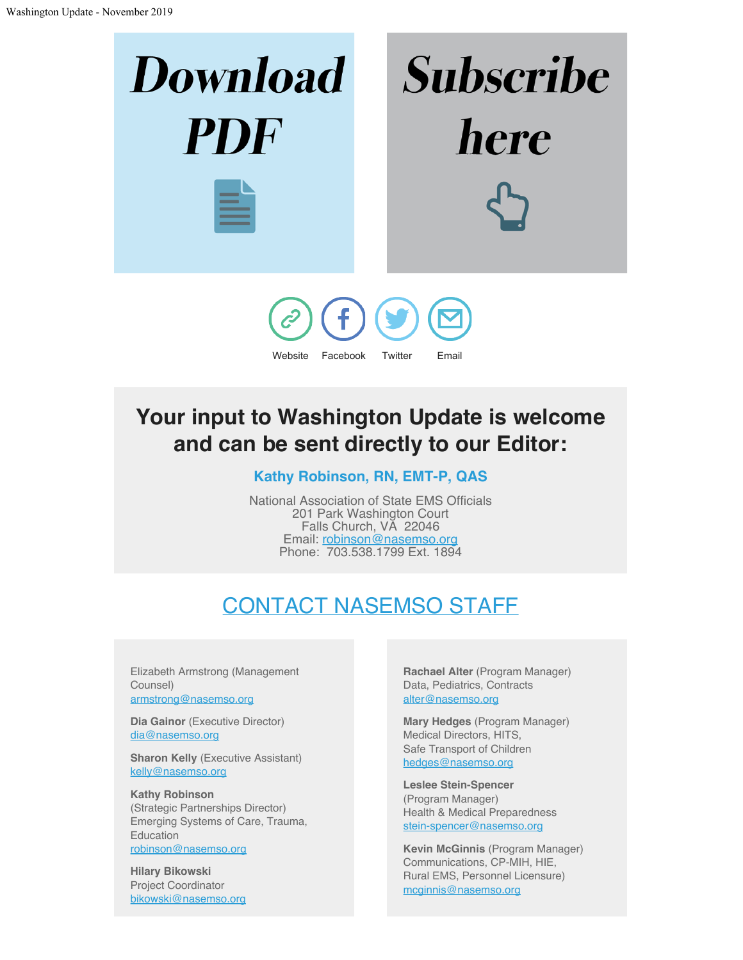

[Website](http://www.nasemso.org/) [Facebook](https://www.facebook.com/pages/National-Association-of-State-EMS-Officials/233988516651170) [Twitter](https://twitter.com/nasemso) [Email](mailto:robinson@nasemso.org)

## **Your input to Washington Update is welcome and can be sent directly to our Editor:**

**Kathy Robinson, RN, EMT-P, QAS**

National Association of State EMS Officials 201 Park Washington Court Falls Church, VA 22046 Email: [robinson@nasemso.org](mailto:robinson@nasemso.org) Phone: 703.538.1799 Ext. 1894

# CONTACT NASEMSO STAFF

Elizabeth Armstrong (Management Counsel) [armstrong@nasemso.org](mailto:armstrong@nasemso.org)

**Dia Gainor** (Executive Director) [dia@nasemso.org](mailto:dia@nasemso.org)

**Sharon Kelly** (Executive Assistant) [kelly@nasemso.org](mailto:kelly@nasemso.org)

**Kathy Robinson** (Strategic Partnerships Director) Emerging Systems of Care, Trauma, Education [robinson@nasemso.org](mailto:robinson@nasemso.org)

**Hilary Bikowski** Project Coordinator [bikowski@nasemso.org](mailto:bikowski@nasemso.org) **Rachael Alter** (Program Manager) Data, Pediatrics, Contracts [alter@nasemso.org](mailto:alter@nasemso.org)

**Mary Hedges** (Program Manager) Medical Directors, HITS, Safe Transport of Children [hedges@nasemso.org](mailto:hedges@nasemso.org)

**Leslee Stein-Spencer** (Program Manager) Health & Medical Preparedness [stein-spencer@nasemso.org](mailto:stein-spencer@nasemso.org)

**Kevin McGinnis** (Program Manager) Communications, CP-MIH, HIE, Rural EMS, Personnel Licensure) [mcginnis@nasemso.org](http://mcginnis@nasemso.org/)